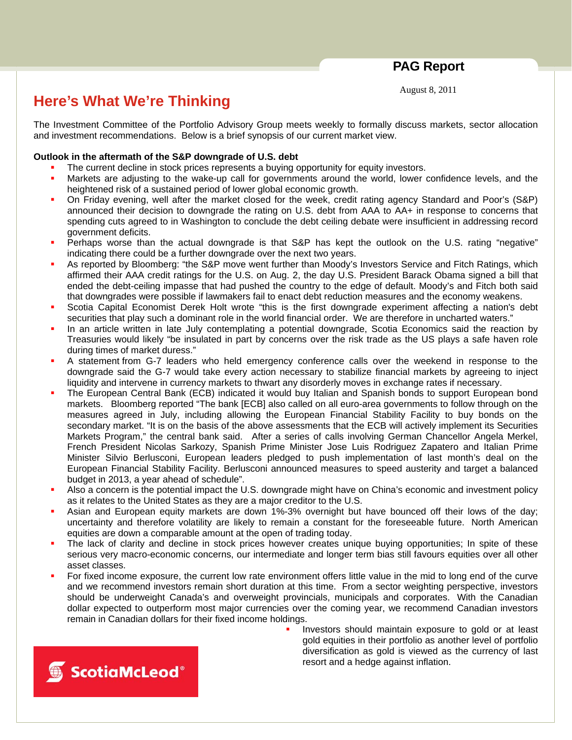**PAG Report** 

August 8, 2011

## **Here's What We're Thinking**

The Investment Committee of the Portfolio Advisory Group meets weekly to formally discuss markets, sector allocation and investment recommendations. Below is a brief synopsis of our current market view.

## **Outlook in the aftermath of the S&P downgrade of U.S. debt**

- The current decline in stock prices represents a buying opportunity for equity investors.
- Markets are adjusting to the wake-up call for governments around the world, lower confidence levels, and the heightened risk of a sustained period of lower global economic growth.
- On Friday evening, well after the market closed for the week, credit rating agency Standard and Poor's (S&P) announced their decision to downgrade the rating on U.S. debt from AAA to AA+ in response to concerns that spending cuts agreed to in Washington to conclude the debt ceiling debate were insufficient in addressing record government deficits.
- Perhaps worse than the actual downgrade is that S&P has kept the outlook on the U.S. rating "negative" indicating there could be a further downgrade over the next two years.
- As reported by Bloomberg: "the S&P move went further than Moody's Investors Service and Fitch Ratings, which affirmed their AAA credit ratings for the U.S. on Aug. 2, the day U.S. President Barack Obama signed a bill that ended the debt-ceiling impasse that had pushed the country to the edge of default. Moody's and Fitch both said that downgrades were possible if lawmakers fail to enact debt reduction measures and the economy weakens.
- Scotia Capital Economist Derek Holt wrote "this is the first downgrade experiment affecting a nation's debt securities that play such a dominant role in the world financial order. We are therefore in uncharted waters."
- In an article written in late July contemplating a potential downgrade, Scotia Economics said the reaction by Treasuries would likely "be insulated in part by concerns over the risk trade as the US plays a safe haven role during times of market duress."
- A statement from G-7 leaders who held emergency conference calls over the weekend in response to the downgrade said the G-7 would take every action necessary to stabilize financial markets by agreeing to inject liquidity and intervene in currency markets to thwart any disorderly moves in exchange rates if necessary.
- The European Central Bank (ECB) indicated it would buy Italian and Spanish bonds to support European bond markets. Bloomberg reported "The bank [ECB] also called on all euro-area governments to follow through on the measures agreed in July, including allowing the European Financial Stability Facility to buy bonds on the secondary market. "It is on the basis of the above assessments that the ECB will actively implement its Securities Markets Program," the central bank said. After a series of calls involving German Chancellor Angela Merkel, French President Nicolas Sarkozy, Spanish Prime Minister Jose Luis Rodriguez Zapatero and Italian Prime Minister Silvio Berlusconi, European leaders pledged to push implementation of last month's deal on the European Financial Stability Facility. Berlusconi announced measures to speed austerity and target a balanced budget in 2013, a year ahead of schedule".
- Also a concern is the potential impact the U.S. downgrade might have on China's economic and investment policy as it relates to the United States as they are a major creditor to the U.S.
- Asian and European equity markets are down 1%-3% overnight but have bounced off their lows of the day; uncertainty and therefore volatility are likely to remain a constant for the foreseeable future. North American equities are down a comparable amount at the open of trading today.
- The lack of clarity and decline in stock prices however creates unique buying opportunities; In spite of these serious very macro-economic concerns, our intermediate and longer term bias still favours equities over all other asset classes.
- For fixed income exposure, the current low rate environment offers little value in the mid to long end of the curve and we recommend investors remain short duration at this time. From a sector weighting perspective, investors should be underweight Canada's and overweight provincials, municipals and corporates. With the Canadian dollar expected to outperform most major currencies over the coming year, we recommend Canadian investors remain in Canadian dollars for their fixed income holdings.
	- Investors should maintain exposure to gold or at least gold equities in their portfolio as another level of portfolio diversification as gold is viewed as the currency of last resort and a hedge against inflation.